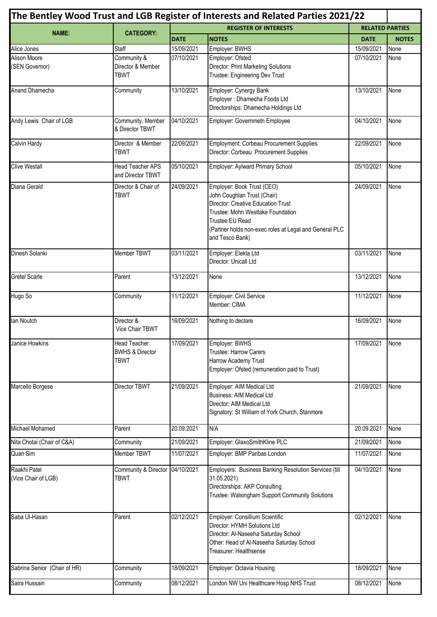| The Bentley Wood Trust and LGB Register of Interests and Related Parties 2021/22 |                                                           |                              |                                                                                                                                                                                                                                              |                        |              |  |  |  |
|----------------------------------------------------------------------------------|-----------------------------------------------------------|------------------------------|----------------------------------------------------------------------------------------------------------------------------------------------------------------------------------------------------------------------------------------------|------------------------|--------------|--|--|--|
|                                                                                  |                                                           | <b>REGISTER OF INTERESTS</b> |                                                                                                                                                                                                                                              | <b>RELATED PARTIES</b> |              |  |  |  |
| <b>NAME</b>                                                                      | <b>CATEGORY</b>                                           | <b>DATE</b>                  | <b>NOTES</b>                                                                                                                                                                                                                                 | <b>DATE</b>            | <b>NOTES</b> |  |  |  |
| Alice Jones                                                                      | Staff                                                     | 15/09/2021                   | Employer: BWHS                                                                                                                                                                                                                               | 15/09/2021             | None         |  |  |  |
| <b>Alison Moore</b><br>(SEN Governor)                                            | Community &<br>Director & Member<br><b>TBWT</b>           | 07/10/2021                   | Employer: Ofsted<br><b>Director: Print Marketing Solutions</b><br>Trustee: Engineering Dev Trust                                                                                                                                             | 07/10/2021             | None         |  |  |  |
| Anand Dhamecha                                                                   | Community                                                 | 13/10/2021                   | Employer: Cynergy Bank<br>Employer : Dhamecha Foods Ltd<br>Directorships: Dhamecha Holdings Ltd                                                                                                                                              | 13/10/2021             | None         |  |  |  |
| Andy Lewis Chair of LGB                                                          | Community, Member<br>& Director TBWT                      | 04/10/2021                   | Employer: Governmetn Employee                                                                                                                                                                                                                | 04/10/2021             | None         |  |  |  |
| Calvin Hardy                                                                     | Director & Member<br><b>TBWT</b>                          | 22/09/2021                   | Employment: Corbeau Procurement Supplies<br>Director: Corbeau Procurement Supplies                                                                                                                                                           | 22/09/2021             | None         |  |  |  |
| <b>Clive Westall</b>                                                             | <b>Head Teacher APS</b><br>and Director TBWT              | 05/10/2021                   | Employer: Aylward Primary School                                                                                                                                                                                                             | 05/10/2021             | None         |  |  |  |
| Diana Gerald                                                                     | Director & Chair of<br><b>TBWT</b>                        | 24/09/2021                   | Employer: Book Trust (CEO)<br>John Coughlan Trust (Chair)<br><b>Director: Creative Education Trust</b><br>Trustee: Mohn Westlake Foundation<br>Trustee: EU Read<br>(Partner holds non-exec roles at Legal and General PLC<br>and Tesco Bank) | 24/09/2021             | None         |  |  |  |
| Dinesh Solanki                                                                   | Member TBWT                                               | 03/11/2021                   | Employer: Elekta Ltd<br>Director: Unicall Ltd                                                                                                                                                                                                | 03/11/2021             | None         |  |  |  |
| <b>Gretel Scarle</b>                                                             | Parent                                                    | 13/12/2021                   | None                                                                                                                                                                                                                                         | 13/12/2021             | None         |  |  |  |
| Hugo So                                                                          | Community                                                 | 11/12/2021                   | Employer: Civil Service<br>Member: CIMA                                                                                                                                                                                                      | 11/12/2021             | None         |  |  |  |
| lan Noutch                                                                       | Director &<br>Vice Chair TBWT                             | 16/09/2021                   | Nothing to declare                                                                                                                                                                                                                           | 16/09/2021             | None         |  |  |  |
| Janice Howkins                                                                   | <b>Head Teacher</b><br><b>BWHS &amp; Director</b><br>TBWT | 17/09/2021                   | Employer: BWHS<br>Trustee: Harrow Carers<br>Harrow Academy Trust<br>Employer: Ofsted (remuneration paid to Trust)                                                                                                                            | 17/09/2021             | None         |  |  |  |
| Marcello Borgese                                                                 | Director TBWT                                             | 21/09/2021                   | Employer: AIM Medical Ltd<br><b>Business: AIM Medical Ltd</b><br>Director: AIM Medical Ltd<br>Signatory: St William of York Church, Stanmore                                                                                                 | 21/09/2021             | None         |  |  |  |
| Michael Mohamed                                                                  | Parent                                                    | 20.09.2021                   | N/A                                                                                                                                                                                                                                          | 20.09.2021             | None         |  |  |  |
| Nita Chotai (Chair of C&A)                                                       | Community                                                 | 21/09/2021                   | Employer: GlaxoSmithKline PLC                                                                                                                                                                                                                | 21/09/2021             | None         |  |  |  |
| Quan Sim                                                                         | Member TBWT                                               | 11/07/2021                   | Employer: BMP Paribas London                                                                                                                                                                                                                 | 11/07/2021             | None         |  |  |  |
| Raakhi Patel<br>(Vice Chair of LGB)                                              | Community & Director<br>TBWT                              | 04/10/2021                   | Employers: Business Banking Resolution Services (till<br>31.05.2021)<br>Directorships: AKP Consulting<br>Trustee: Walsingham Support Community Solutions                                                                                     | 04/10/2021             | None         |  |  |  |
| Saba Ul-Hasan                                                                    | Parent                                                    | 02/12/2021                   | Employer: Consillium Scientific<br>Director: HYMH Solutions Ltd<br>Director: Al-Naseeha Saturday School<br>Other: Head of Al-Naseeha Saturday School<br>Treasurer: Healthsense                                                               | 02/12/2021             | None         |  |  |  |
| Sabrina Senior (Chair of HR)                                                     | Community                                                 | 18/09/2021                   | Employer: Octavia Housing                                                                                                                                                                                                                    | 18/09/2021             | None         |  |  |  |
| Saira Hussain                                                                    | Community                                                 | 08/12/2021                   | London NW Uni Healthcare Hosp NHS Trust                                                                                                                                                                                                      | 08/12/2021             | None         |  |  |  |